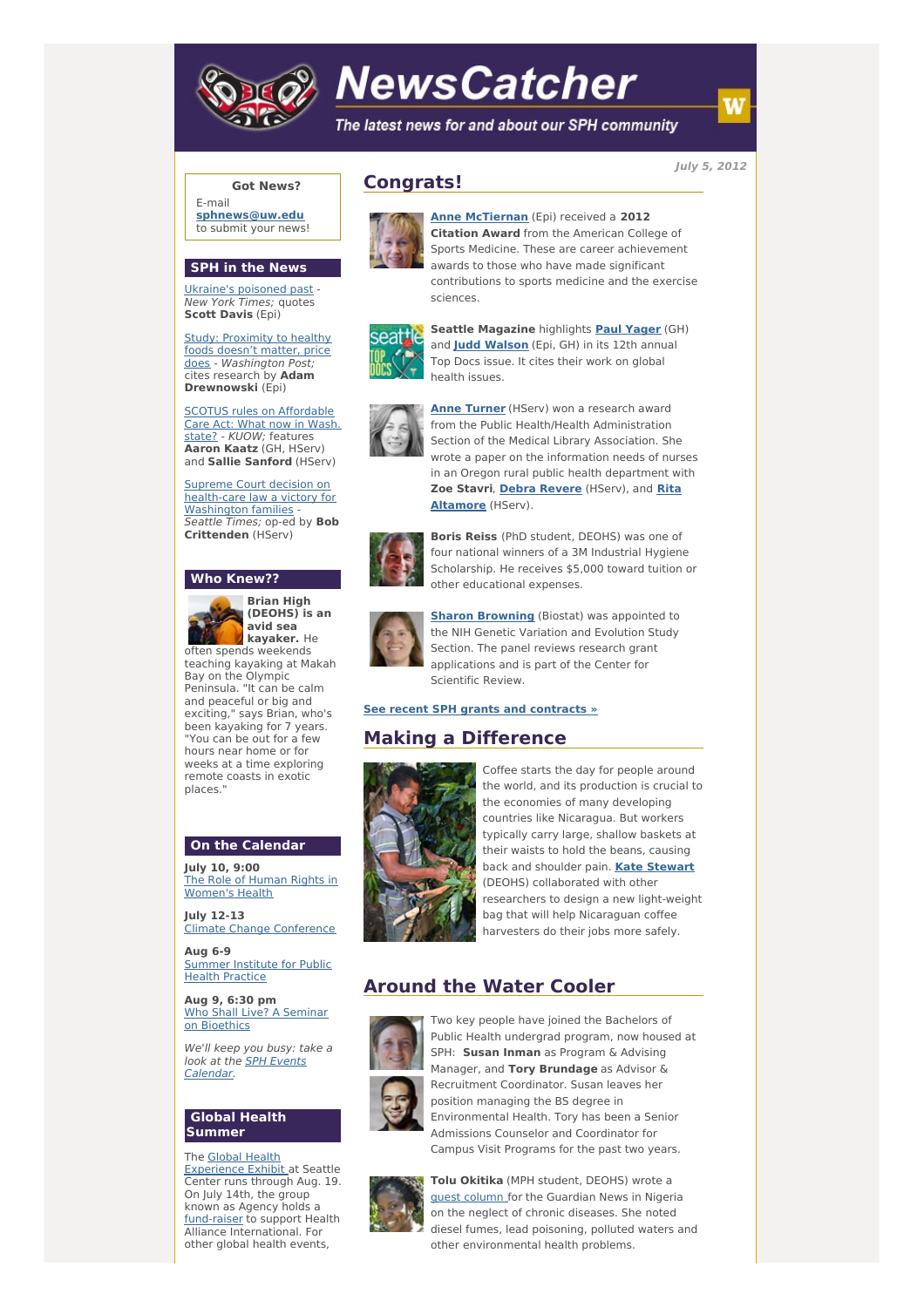

# **NewsCatcher**

The latest news for and about our SPH community

**July 5, 2012**

## **Got News?**

E-mail **[sphnews@uw.edu](mailto:sphnews@uw.edu)** to submit your news!

#### **SPH in the News**

[Ukraine's](http://engage.washington.edu/site/R?i=AJM-K-5yXmmI6cw3P-2jeA) poisoned past - New York Times; quotes **Scott Davis** (Epi)

**Study: Proximity to healthy** foods doesn't matter, price does - [Washington](http://engage.washington.edu/site/R?i=-5idvbaJPNJrJAbgXgnxqw) Post; cites research by **Adam Drewnowski** (Epi)

SCOTUS rules on [Affordable](http://engage.washington.edu/site/R?i=KpzlH-qp1btwb21AwJN4Lw) Care Act: What now in Wash. state? - KUOW; features **Aaron Kaatz** (GH, HServ) and **Sallie Sanford** (HServ)

Supreme Court decision on [health-care](http://engage.washington.edu/site/R?i=MzXPtP866_uRYBCqSGXGDg) law a victory for Washington families Seattle Times; op-ed by **Bob Crittenden** (HServ)

#### **Who Knew??**



**Brian High (DEOHS) is an avid sea kayaker.** He often spends weekends

teaching kayaking at Makah Bay on the Olympic Peninsula. "It can be calm and peaceful or big and exciting," says Brian, who's been kayaking for 7 years. "You can be out for a few hours near home or for weeks at a time exploring remote coasts in exotic places."

## **On the Calendar**

**July 10, 9:00** The Role of Human Rights in [Women's](http://engage.washington.edu/site/R?i=O7iP3aWoKUhHh4We-GvHOA) Health

**July 12-13** Climate Change [Conference](http://engage.washington.edu/site/R?i=gTtyb6vUDnGr8cKpnIQ_ug)

**Aug 6-9** [Summer](http://engage.washington.edu/site/R?i=hl0vsVbIxRzIWpnhWTMVeQ) Institute for Public Health Practice

**Aug 9, 6:30 pm** Who Shall Live? A Seminar on [Bioethics](http://engage.washington.edu/site/R?i=PnVZ9LNUFjzWy8yBBXWbLQ)

We'll keep you busy: take a look at the SPH Events [Calendar.](http://engage.washington.edu/site/R?i=fnei7YLxZyikwn_aSPXkmg)

## **Global Health Summer**

The Global Health [Experience](http://engage.washington.edu/site/R?i=4Gmmid_EVrV0ysFdRRxZXg) Exhibit at Seattle Center runs through Aug. 19. On July 14th, the group known as Agency holds a [fund-raiser](http://engage.washington.edu/site/R?i=n7Wq7btf79K1RtrCr0OVNw) to support Health Alliance International. For other global health events,

# **Congrats!**



**Anne [McTiernan](http://engage.washington.edu/site/R?i=_uKPAJJTgWpR13GUBFMk_Q)** (Epi) received a **2012 Citation Award** from the American College of Sports Medicine. These are career achievement awards to those who have made significant contributions to sports medicine and the exercise sciences.



**Seattle Magazine** highlights **Paul [Yager](http://engage.washington.edu/site/R?i=j0tduiTcviT0b_tkd2mXOQ)** (GH) and **Judd [Walson](http://engage.washington.edu/site/R?i=g8i90t4TLtbKOveUK39PBg)** (Epi, GH) in its 12th annual Top Docs issue. It cites their work on global health issues.



**Anne [Turner](http://engage.washington.edu/site/R?i=8OAGBuzsBLrC2C7upcOWQg)** (HServ) won a research award from the Public Health/Health Administration Section of the Medical Library Association. She wrote a paper on the information needs of nurses in an Oregon rural public health department with **Zoe Stavri**, **Debra [Revere](http://engage.washington.edu/site/R?i=I6gqeac0_MCjqnEF8Nc0AQ)** (HServ), and **Rita [Altamore](http://engage.washington.edu/site/R?i=3bcs4L6XMdYyz8pZC4VLvw)** (HServ).



**Boris Reiss** (PhD student, DEOHS) was one of four national winners of a 3M Industrial Hygiene Scholarship. He receives \$5,000 toward tuition or other educational expenses.



**Sharon [Browning](http://engage.washington.edu/site/R?i=SsImvj9CPtmthBek2nP_og)** (Biostat) was appointed to the NIH Genetic Variation and Evolution Study Section. The panel reviews research grant applications and is part of the Center for Scientific Review.

**See recent SPH grants and [contracts](http://engage.washington.edu/site/R?i=XEhw5UjB9DXO_41ySeiPWA) »**

# **Making a Difference**



Coffee starts the day for people around the world, and its production is crucial to the economies of many developing countries like Nicaragua. But workers typically carry large, shallow baskets at their waists to hold the beans, causing back and shoulder pain. **Kate [Stewart](http://engage.washington.edu/site/R?i=jiuTVrqitJwV5xPovlAYmA)** (DEOHS) collaborated with other researchers to design a new light-weight bag that will help Nicaraguan coffee harvesters do their jobs more safely.

## **Around the Water Cooler**



Two key people have joined the Bachelors of Public Health undergrad program, now housed at SPH: **Susan Inman** as Program & Advising Manager, and **Tory Brundage** as Advisor & Recruitment Coordinator. Susan leaves her position managing the BS degree in Environmental Health. Tory has been a Senior Admissions Counselor and Coordinator for Campus Visit Programs for the past two years.



**Tolu Okitika** (MPH student, DEOHS) wrote a guest [column](http://engage.washington.edu/site/R?i=TzVAdN9hczUnEPyNenBnwQ) for the Guardian News in Nigeria on the neglect of chronic diseases. She noted diesel fumes, lead poisoning, polluted waters and other environmental health problems.